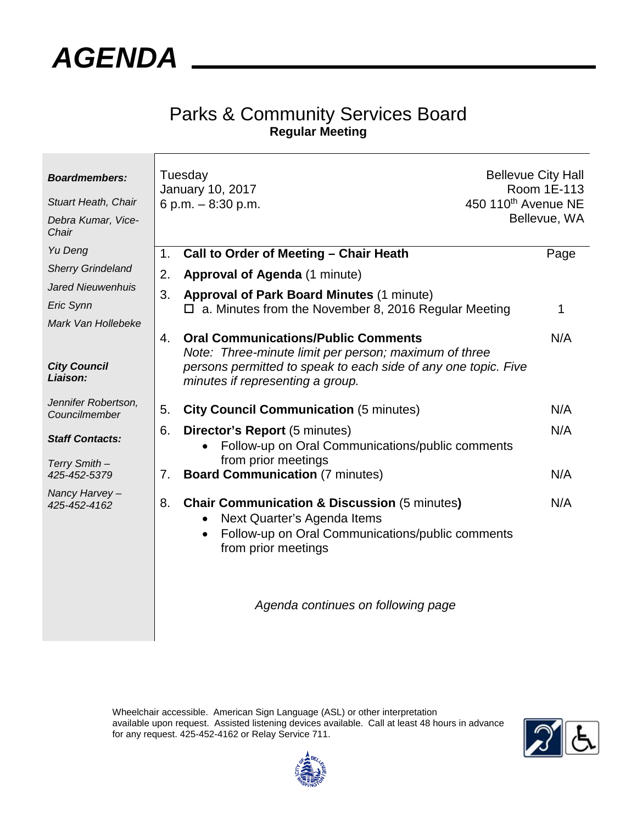

## Parks & Community Services Board **Regular Meeting**

| <b>Boardmembers:</b><br><b>Stuart Heath, Chair</b><br>Debra Kumar, Vice-<br>Chair |    | Tuesday<br>January 10, 2017<br>6 p.m. - 8:30 p.m.                                                                                                                                                         | <b>Bellevue City Hall</b><br>Room 1E-113<br>450 110 <sup>th</sup> Avenue NE<br>Bellevue, WA |
|-----------------------------------------------------------------------------------|----|-----------------------------------------------------------------------------------------------------------------------------------------------------------------------------------------------------------|---------------------------------------------------------------------------------------------|
| Yu Deng                                                                           | 1. | Call to Order of Meeting - Chair Heath                                                                                                                                                                    | Page                                                                                        |
| <b>Sherry Grindeland</b>                                                          | 2. | Approval of Agenda (1 minute)                                                                                                                                                                             |                                                                                             |
| <b>Jared Nieuwenhuis</b><br>Eric Synn                                             | 3. | <b>Approval of Park Board Minutes (1 minute)</b><br>a. Minutes from the November 8, 2016 Regular Meeting                                                                                                  | 1                                                                                           |
| Mark Van Hollebeke<br><b>City Council</b><br>Liaison:                             | 4. | <b>Oral Communications/Public Comments</b><br>Note: Three-minute limit per person; maximum of three<br>persons permitted to speak to each side of any one topic. Five<br>minutes if representing a group. | N/A                                                                                         |
| Jennifer Robertson,<br>Councilmember                                              | 5. | <b>City Council Communication (5 minutes)</b>                                                                                                                                                             | N/A                                                                                         |
| <b>Staff Contacts:</b><br>Terry Smith -                                           | 6. | <b>Director's Report (5 minutes)</b><br>Follow-up on Oral Communications/public comments<br>from prior meetings                                                                                           | N/A                                                                                         |
| 425-452-5379                                                                      | 7. | <b>Board Communication (7 minutes)</b>                                                                                                                                                                    | N/A                                                                                         |
| Nancy Harvey-<br>425-452-4162                                                     | 8. | <b>Chair Communication &amp; Discussion (5 minutes)</b><br>Next Quarter's Agenda Items<br>Follow-up on Oral Communications/public comments<br>$\bullet$<br>from prior meetings                            | N/A                                                                                         |
|                                                                                   |    | Agenda continues on following page                                                                                                                                                                        |                                                                                             |